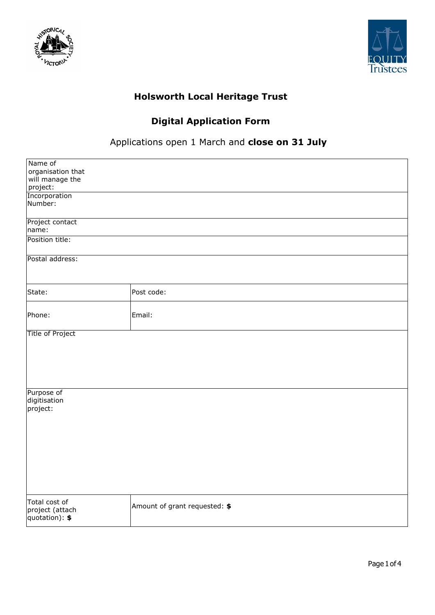



## **Holsworth Local Heritage Trust**

## **Digital Application Form**

## Applications open 1 March and **close on 31 July**

| Name of                 |                               |
|-------------------------|-------------------------------|
| organisation that       |                               |
| will manage the         |                               |
| project:                |                               |
| Incorporation           |                               |
|                         |                               |
| Number:                 |                               |
|                         |                               |
| Project contact         |                               |
| name:                   |                               |
|                         |                               |
| Position title:         |                               |
|                         |                               |
| Postal address:         |                               |
|                         |                               |
|                         |                               |
|                         |                               |
|                         |                               |
| State:                  | Post code:                    |
|                         |                               |
|                         |                               |
| Phone:                  | Email:                        |
|                         |                               |
|                         |                               |
| <b>Title of Project</b> |                               |
|                         |                               |
|                         |                               |
|                         |                               |
|                         |                               |
|                         |                               |
|                         |                               |
|                         |                               |
| Purpose of              |                               |
| digitisation            |                               |
| project:                |                               |
|                         |                               |
|                         |                               |
|                         |                               |
|                         |                               |
|                         |                               |
|                         |                               |
|                         |                               |
|                         |                               |
|                         |                               |
|                         |                               |
|                         |                               |
|                         |                               |
| Total cost of           |                               |
| project (attach         | Amount of grant requested: \$ |
| quotation): \$          |                               |
|                         |                               |
|                         |                               |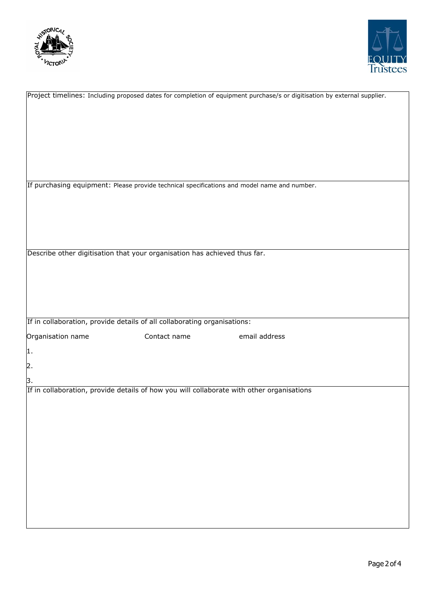



|                                                                                             |              | Project timelines: Including proposed dates for completion of equipment purchase/s or digitisation by external supplier. |
|---------------------------------------------------------------------------------------------|--------------|--------------------------------------------------------------------------------------------------------------------------|
|                                                                                             |              |                                                                                                                          |
|                                                                                             |              |                                                                                                                          |
|                                                                                             |              |                                                                                                                          |
|                                                                                             |              |                                                                                                                          |
|                                                                                             |              |                                                                                                                          |
|                                                                                             |              |                                                                                                                          |
|                                                                                             |              |                                                                                                                          |
|                                                                                             |              |                                                                                                                          |
|                                                                                             |              |                                                                                                                          |
|                                                                                             |              |                                                                                                                          |
|                                                                                             |              |                                                                                                                          |
| If purchasing equipment: Please provide technical specifications and model name and number. |              |                                                                                                                          |
|                                                                                             |              |                                                                                                                          |
|                                                                                             |              |                                                                                                                          |
|                                                                                             |              |                                                                                                                          |
|                                                                                             |              |                                                                                                                          |
|                                                                                             |              |                                                                                                                          |
|                                                                                             |              |                                                                                                                          |
|                                                                                             |              |                                                                                                                          |
|                                                                                             |              |                                                                                                                          |
| Describe other digitisation that your organisation has achieved thus far.                   |              |                                                                                                                          |
|                                                                                             |              |                                                                                                                          |
|                                                                                             |              |                                                                                                                          |
|                                                                                             |              |                                                                                                                          |
|                                                                                             |              |                                                                                                                          |
|                                                                                             |              |                                                                                                                          |
|                                                                                             |              |                                                                                                                          |
|                                                                                             |              |                                                                                                                          |
|                                                                                             |              |                                                                                                                          |
|                                                                                             |              |                                                                                                                          |
| If in collaboration, provide details of all collaborating organisations:                    |              |                                                                                                                          |
|                                                                                             |              |                                                                                                                          |
| Organisation name                                                                           | Contact name | email address                                                                                                            |
|                                                                                             |              |                                                                                                                          |
| 1.                                                                                          |              |                                                                                                                          |
|                                                                                             |              |                                                                                                                          |
| $\overline{2}$ .                                                                            |              |                                                                                                                          |
|                                                                                             |              |                                                                                                                          |
|                                                                                             |              |                                                                                                                          |
|                                                                                             |              |                                                                                                                          |
| 3.                                                                                          |              |                                                                                                                          |
| If in collaboration, provide details of how you will collaborate with other organisations   |              |                                                                                                                          |
|                                                                                             |              |                                                                                                                          |
|                                                                                             |              |                                                                                                                          |
|                                                                                             |              |                                                                                                                          |
|                                                                                             |              |                                                                                                                          |
|                                                                                             |              |                                                                                                                          |
|                                                                                             |              |                                                                                                                          |
|                                                                                             |              |                                                                                                                          |
|                                                                                             |              |                                                                                                                          |
|                                                                                             |              |                                                                                                                          |
|                                                                                             |              |                                                                                                                          |
|                                                                                             |              |                                                                                                                          |
|                                                                                             |              |                                                                                                                          |
|                                                                                             |              |                                                                                                                          |
|                                                                                             |              |                                                                                                                          |
|                                                                                             |              |                                                                                                                          |
|                                                                                             |              |                                                                                                                          |
|                                                                                             |              |                                                                                                                          |
|                                                                                             |              |                                                                                                                          |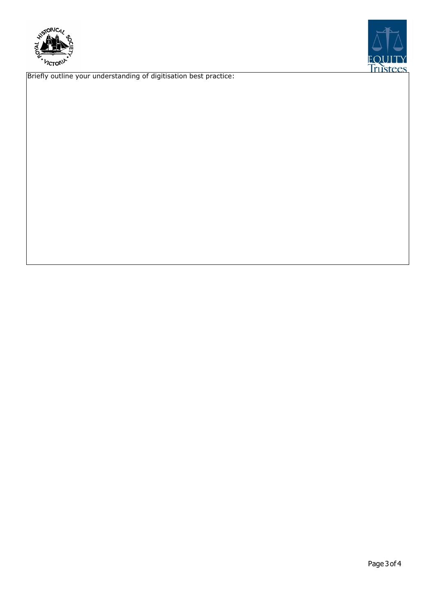



Briefly outline your understanding of digitisation best practice: